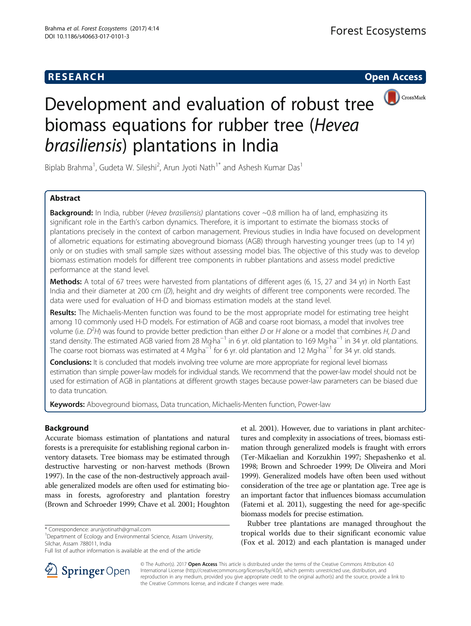## **RESEARCH CHEAR CHEAR CHEAR CHEAR CHEAR CHEAR CHEAR CHEAR CHEAR CHEAR CHEAR CHEAR CHEAR CHEAR CHEAR CHEAR CHEAR**



# Development and evaluation of robust tree biomass equations for rubber tree (Hevea brasiliensis) plantations in India

Biplab Brahma<sup>1</sup>, Gudeta W. Sileshi<sup>2</sup>, Arun Jyoti Nath<sup>1\*</sup> and Ashesh Kumar Das<sup>1</sup>

## Abstract

**Background:** In India, rubber (Hevea brasiliensis) plantations cover  $\sim 0.8$  million ha of land, emphasizing its significant role in the Earth's carbon dynamics. Therefore, it is important to estimate the biomass stocks of plantations precisely in the context of carbon management. Previous studies in India have focused on development of allometric equations for estimating aboveground biomass (AGB) through harvesting younger trees (up to 14 yr) only or on studies with small sample sizes without assessing model bias. The objective of this study was to develop biomass estimation models for different tree components in rubber plantations and assess model predictive performance at the stand level.

Methods: A total of 67 trees were harvested from plantations of different ages (6, 15, 27 and 34 yr) in North East India and their diameter at 200 cm (D), height and dry weights of different tree components were recorded. The data were used for evaluation of H-D and biomass estimation models at the stand level.

Results: The Michaelis-Menten function was found to be the most appropriate model for estimating tree height among 10 commonly used H-D models. For estimation of AGB and coarse root biomass, a model that involves tree volume (i.e.  $D^2H$ ) was found to provide better prediction than either D or H alone or a model that combines H, D and stand density. The estimated AGB varied from 28 Mg·ha<sup>-1</sup> in 6 yr. old plantation to 169 Mg·ha<sup>-1</sup> in 34 yr. old plantations. The coarse root biomass was estimated at 4 Mg·ha<sup>-1</sup> for 6 yr. old plantation and 12 Mg·ha<sup>-1</sup> for 34 yr. old stands.

Conclusions: It is concluded that models involving tree volume are more appropriate for regional level biomass estimation than simple power-law models for individual stands. We recommend that the power-law model should not be used for estimation of AGB in plantations at different growth stages because power-law parameters can be biased due to data truncation.

Keywords: Aboveground biomass, Data truncation, Michaelis-Menten function, Power-law

## Background

Accurate biomass estimation of plantations and natural forests is a prerequisite for establishing regional carbon inventory datasets. Tree biomass may be estimated through destructive harvesting or non-harvest methods (Brown [1997\)](#page-9-0). In the case of the non-destructively approach available generalized models are often used for estimating biomass in forests, agroforestry and plantation forestry (Brown and Schroeder [1999;](#page-9-0) Chave et al. [2001](#page-9-0); Houghton

<sup>1</sup>Department of Ecology and Environmental Science, Assam University, Silchar, Assam 788011, India

et al. [2001](#page-9-0)). However, due to variations in plant architectures and complexity in associations of trees, biomass estimation through generalized models is fraught with errors (Ter-Mikaelian and Korzukhin [1997;](#page-9-0) Shepashenko et al. [1998;](#page-9-0) Brown and Schroeder [1999;](#page-9-0) De Oliveira and Mori [1999\)](#page-9-0). Generalized models have often been used without consideration of the tree age or plantation age. Tree age is an important factor that influences biomass accumulation (Fatemi et al. [2011](#page-9-0)), suggesting the need for age-specific biomass models for precise estimation.

Rubber tree plantations are managed throughout the tropical worlds due to their significant economic value (Fox et al. [2012\)](#page-9-0) and each plantation is managed under



© The Author(s). 2017 **Open Access** This article is distributed under the terms of the Creative Commons Attribution 4.0 International License ([http://creativecommons.org/licenses/by/4.0/\)](http://creativecommons.org/licenses/by/4.0/), which permits unrestricted use, distribution, and reproduction in any medium, provided you give appropriate credit to the original author(s) and the source, provide a link to the Creative Commons license, and indicate if changes were made.

<sup>\*</sup> Correspondence: [arunjyotinath@gmail.com](mailto:arunjyotinath@gmail.com) <sup>1</sup>

Full list of author information is available at the end of the article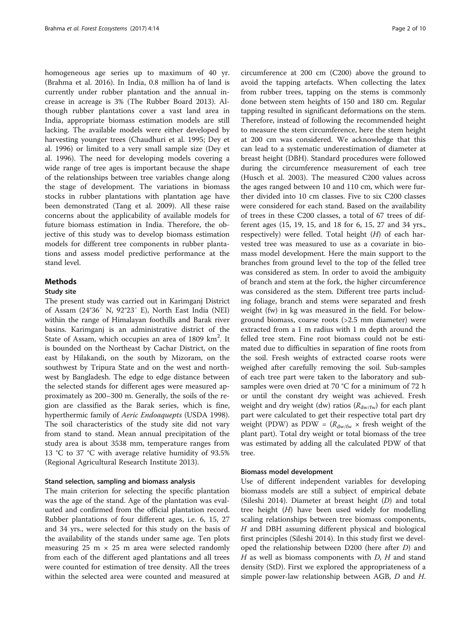homogeneous age series up to maximum of 40 yr. (Brahma et al. [2016\)](#page-9-0). In India, 0.8 million ha of land is currently under rubber plantation and the annual increase in acreage is 3% (The Rubber Board [2013\)](#page-9-0). Although rubber plantations cover a vast land area in India, appropriate biomass estimation models are still lacking. The available models were either developed by harvesting younger trees (Chaudhuri et al. [1995](#page-9-0); Dey et al. [1996](#page-9-0)) or limited to a very small sample size (Dey et al. [1996](#page-9-0)). The need for developing models covering a wide range of tree ages is important because the shape of the relationships between tree variables change along the stage of development. The variations in biomass stocks in rubber plantations with plantation age have been demonstrated (Tang et al. [2009\)](#page-9-0). All these raise concerns about the applicability of available models for future biomass estimation in India. Therefore, the objective of this study was to develop biomass estimation models for different tree components in rubber plantations and assess model predictive performance at the stand level.

## Methods

#### Study site

The present study was carried out in Karimganj District of Assam (24°36′ N, 92°23′ E), North East India (NEI) within the range of Himalayan foothills and Barak river basins. Karimganj is an administrative district of the State of Assam, which occupies an area of 1809 km<sup>2</sup>. It is bounded on the Northeast by Cachar District, on the east by Hilakandi, on the south by Mizoram, on the southwest by Tripura State and on the west and northwest by Bangladesh. The edge to edge distance between the selected stands for different ages were measured approximately as 200–300 m. Generally, the soils of the region are classified as the Barak series, which is fine, hyperthermic family of Aeric Endoaquepts (USDA [1998](#page-9-0)). The soil characteristics of the study site did not vary from stand to stand. Mean annual precipitation of the study area is about 3538 mm, temperature ranges from 13 °C to 37 °C with average relative humidity of 93.5% (Regional Agricultural Research Institute [2013](#page-9-0)).

#### Stand selection, sampling and biomass analysis

The main criterion for selecting the specific plantation was the age of the stand. Age of the plantation was evaluated and confirmed from the official plantation record. Rubber plantations of four different ages, i.e. 6, 15, 27 and 34 yrs., were selected for this study on the basis of the availability of the stands under same age. Ten plots measuring  $25 \text{ m} \times 25 \text{ m}$  area were selected randomly from each of the different aged plantations and all trees were counted for estimation of tree density. All the trees within the selected area were counted and measured at

circumference at 200 cm (C200) above the ground to avoid the tapping artefacts. When collecting the latex from rubber trees, tapping on the stems is commonly done between stem heights of 150 and 180 cm. Regular tapping resulted in significant deformations on the stem. Therefore, instead of following the recommended height to measure the stem circumference, here the stem height at 200 cm was considered. We acknowledge that this can lead to a systematic underestimation of diameter at breast height (DBH). Standard procedures were followed during the circumference measurement of each tree (Husch et al. [2003\)](#page-9-0). The measured C200 values across the ages ranged between 10 and 110 cm, which were further divided into 10 cm classes. Five to six C200 classes were considered for each stand. Based on the availability of trees in these C200 classes, a total of 67 trees of different ages (15, 19, 15, and 18 for 6, 15, 27 and 34 yrs., respectively) were felled. Total height (H) of each harvested tree was measured to use as a covariate in biomass model development. Here the main support to the branches from ground level to the top of the felled tree was considered as stem. In order to avoid the ambiguity of branch and stem at the fork, the higher circumference was considered as the stem. Different tree parts including foliage, branch and stems were separated and fresh weight (fw) in kg was measured in the field. For belowground biomass, coarse roots (>2.5 mm diameter) were extracted from a 1 m radius with 1 m depth around the felled tree stem. Fine root biomass could not be estimated due to difficulties in separation of fine roots from the soil. Fresh weights of extracted coarse roots were weighed after carefully removing the soil. Sub-samples of each tree part were taken to the laboratory and subsamples were oven dried at 70 °C for a minimum of 72 h or until the constant dry weight was achieved. Fresh weight and dry weight (dw) ratios ( $R_{\text{dw/fw}}$ ) for each plant part were calculated to get their respective total part dry weight (PDW) as PDW =  $(R_{dw/fw} \times$  fresh weight of the plant part). Total dry weight or total biomass of the tree was estimated by adding all the calculated PDW of that tree.

## Biomass model development

Use of different independent variables for developing biomass models are still a subject of empirical debate (Sileshi [2014](#page-9-0)). Diameter at breast height (D) and total tree height  $(H)$  have been used widely for modelling scaling relationships between tree biomass components, H and DBH assuming different physical and biological first principles (Sileshi [2014](#page-9-0)). In this study first we developed the relationship between D200 (here after D) and  $H$  as well as biomass components with  $D$ ,  $H$  and stand density (StD). First we explored the appropriateness of a simple power-law relationship between AGB, D and H.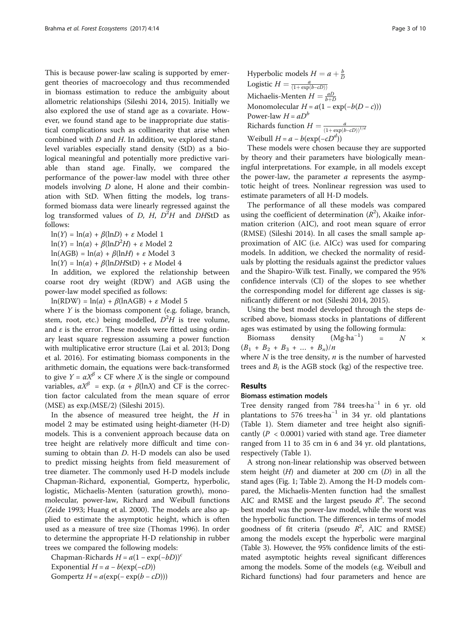This is because power-law scaling is supported by emergent theories of macroecology and thus recommended in biomass estimation to reduce the ambiguity about allometric relationships (Sileshi [2014, 2015\)](#page-9-0). Initially we also explored the use of stand age as a covariate. However, we found stand age to be inappropriate due statistical complications such as collinearity that arise when combined with  $D$  and  $H$ . In addition, we explored standlevel variables especially stand density (StD) as a biological meaningful and potentially more predictive variable than stand age. Finally, we compared the performance of the power-law model with three other models involving D alone, H alone and their combination with StD. When fitting the models, log transformed biomass data were linearly regressed against the log transformed values of D, H,  $D^2H$  and DHStD as follows:

 $ln(Y) = ln(\alpha) + \beta(lnD) + \varepsilon$  Model 1  $\ln(Y) = \ln(\alpha) + \beta(\ln D^2 H) + \varepsilon$  Model 2  $ln(AGB) = ln(\alpha) + \beta(lnH) + \varepsilon$  Model 3  $ln(Y) = ln(\alpha) + \beta(lnDHStD) + \varepsilon$  Model 4

In addition, we explored the relationship between coarse root dry weight (RDW) and AGB using the power-law model specified as follows:

 $ln(RDW) = ln(\alpha) + \beta(lnAGB) + \varepsilon$  Model 5

where  $Y$  is the biomass component (e.g. foliage, branch, stem, root, etc.) being modelled,  $D^2H$  is tree volume, and  $\varepsilon$  is the error. These models were fitted using ordinary least square regression assuming a power function with multiplicative error structure (Lai et al. [2013;](#page-9-0) Dong et al. [2016\)](#page-9-0). For estimating biomass components in the arithmetic domain, the equations were back-transformed to give  $Y = \alpha X^{\beta} \times \text{CF}$  where X is the single or compound variables,  $\alpha X^{\beta}$  = exp. ( $\alpha + \beta$ (lnX) and CF is the correction factor calculated from the mean square of error (MSE) as exp.(MSE/2) (Sileshi [2015\)](#page-9-0).

In the absence of measured tree height, the  $H$  in model 2 may be estimated using height-diameter (H-D) models. This is a convenient approach because data on tree height are relatively more difficult and time consuming to obtain than D. H-D models can also be used to predict missing heights from field measurement of tree diameter. The commonly used H-D models include Chapman-Richard, exponential, Gompertz, hyperbolic, logistic, Michaelis-Menten (saturation growth), monomolecular, power-law, Richard and Weibull functions (Zeide [1993](#page-9-0); Huang et al. [2000](#page-9-0)). The models are also applied to estimate the asymptotic height, which is often used as a measure of tree size (Thomas [1996](#page-9-0)). In order to determine the appropriate H-D relationship in rubber trees we compared the following models:

Chapman-Richards  $H = a(1 - \exp(-bD))^c$ Exponential  $H = a - b(\exp(-cD))$ Gompertz  $H = a(\exp(-\exp(b - cD)))$ 

Hyperbolic models 
$$
H = a + \frac{b}{D}
$$
  
\nLogistic  $H = \frac{a}{(1 + \exp(b - cD))}$   
\nMichaelis-Menten  $H = \frac{aD}{b+D}$   
\nMonomolecular  $H = a(1 - \exp(-b(D - c)))$   
\nPower-law  $H = aD^b$   
\nRichards function  $H = \frac{a}{(1 + \exp(b - cD))^{1/d}}$   
\nWeibull  $H = a - b(\exp(-cD^d))$ 

These models were chosen because they are supported by theory and their parameters have biologically meaningful interpretations. For example, in all models except the power-law, the parameter  $a$  represents the asymptotic height of trees. Nonlinear regression was used to estimate parameters of all H-D models.

The performance of all these models was compared using the coefficient of determination  $(R^2)$ , Akaike information criterion (AIC), and root mean square of error (RMSE) (Sileshi [2014\)](#page-9-0). In all cases the small sample approximation of AIC (i.e. AICc) was used for comparing models. In addition, we checked the normality of residuals by plotting the residuals against the predictor values and the Shapiro-Wilk test. Finally, we compared the 95% confidence intervals (CI) of the slopes to see whether the corresponding model for different age classes is significantly different or not (Sileshi [2014](#page-9-0), [2015\)](#page-9-0).

Using the best model developed through the steps described above, biomass stocks in plantations of different ages was estimated by using the following formula:

Biomass density  $(Mg \cdot ha^{-1})$ ) =  $N \times$  $(B_1 + B_2 + B_3 + \ldots + B_n)/n$ 

where  $N$  is the tree density,  $n$  is the number of harvested trees and  $B_i$  is the AGB stock (kg) of the respective tree.

## Results

## Biomass estimation models

Tree density ranged from 784 trees·ha−<sup>1</sup> in 6 yr. old plantations to 576 trees⋅ha<sup>-1</sup> in 34 yr. old plantations (Table [1](#page-3-0)). Stem diameter and tree height also significantly ( $P < 0.0001$ ) varied with stand age. Tree diameter ranged from 11 to 35 cm in 6 and 34 yr. old plantations, respectively (Table [1](#page-3-0)).

A strong non-linear relationship was observed between stem height  $(H)$  and diameter at 200 cm  $(D)$  in all the stand ages (Fig. [1](#page-3-0); Table [2](#page-4-0)). Among the H-D models compared, the Michaelis-Menten function had the smallest AIC and RMSE and the largest pseudo  $R^2$ . The second best model was the power-law model, while the worst was the hyperbolic function. The differences in terms of model goodness of fit criteria (pseudo  $R^2$ , AIC and RMSE) among the models except the hyperbolic were marginal (Table [3\)](#page-4-0). However, the 95% confidence limits of the estimated asymptotic heights reveal significant differences among the models. Some of the models (e.g. Weibull and Richard functions) had four parameters and hence are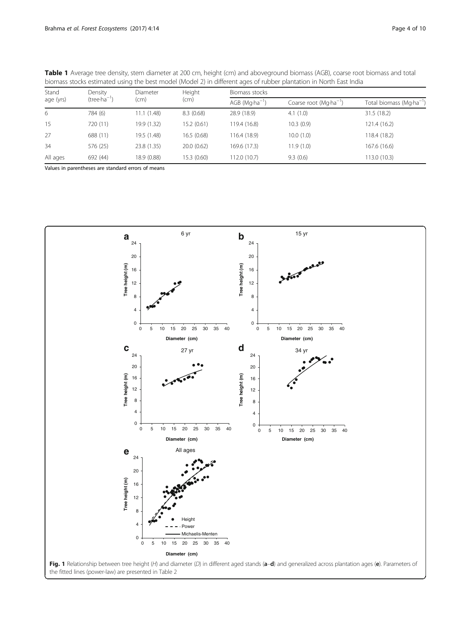| biomass stocks estimated using the best model (Model 2) in different ages of rubber plantation in North East India |                  |                 |             |                                      |                                    |                                      |  |  |
|--------------------------------------------------------------------------------------------------------------------|------------------|-----------------|-------------|--------------------------------------|------------------------------------|--------------------------------------|--|--|
| Stand<br>age (yrs)                                                                                                 | Density          | <b>Diameter</b> | Height      | Biomass stocks                       |                                    |                                      |  |  |
|                                                                                                                    | $(tree·ha^{-1})$ | (cm)            | (cm)        | $AGB$ (Mg $\cdot$ ha <sup>-1</sup> ) | Coarse root (Mg-ha <sup>-1</sup> ) | Total biomass (Mg·ha <sup>-1</sup> ) |  |  |
| 6                                                                                                                  | 784 (6)          | 11.1(1.48)      | 8.3(0.68)   | 28.9 (18.9)                          | 4.1(1.0)                           | 31.5 (18.2)                          |  |  |
| 15                                                                                                                 | 720 (11)         | 19.9 (1.32)     | 15.2(0.61)  | 119.4 (16.8)                         | 10.3(0.9)                          | 121.4 (16.2)                         |  |  |
| 27                                                                                                                 | 688 (11)         | 19.5 (1.48)     | 16.5(0.68)  | 116.4 (18.9)                         | 10.0(1.0)                          | 118.4 (18.2)                         |  |  |
| 34                                                                                                                 | 576 (25)         | 23.8 (1.35)     | 20.0(0.62)  | 169.6 (17.3)                         | 11.9(1.0)                          | 167.6 (16.6)                         |  |  |
| All ages                                                                                                           | 692 (44)         | 18.9 (0.88)     | 15.3 (0.60) | 12.0(10.7)                           | 9.3(0.6)                           | 113.0 (10.3)                         |  |  |

<span id="page-3-0"></span>Table 1 Average tree density, stem diameter at 200 cm, height (cm) and aboveground biomass (AGB), coarse root biomass and total biomass stocks estimated using the best model (Model 2) in different ages of rubber plantation in North East India

Values in parentheses are standard errors of means

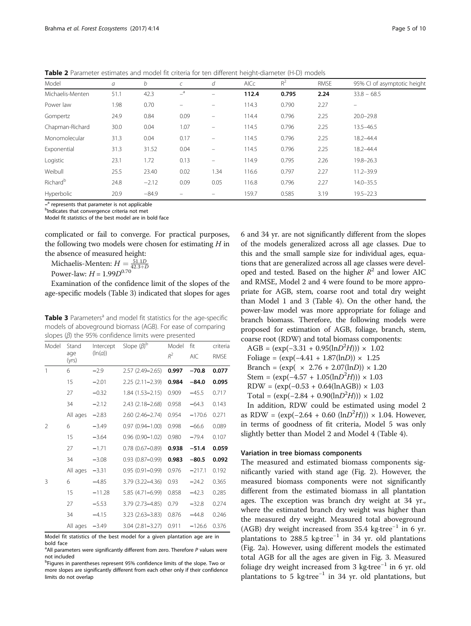| Model                | a    | b       |                  | d                        | AICc  | $R^2$ | <b>RMSE</b> | 95% CI of asymptotic height |
|----------------------|------|---------|------------------|--------------------------|-------|-------|-------------|-----------------------------|
| Michaelis-Menten     | 51.1 | 42.3    | $-$ <sup>a</sup> | $\equiv$                 | 112.4 | 0.795 | 2.24        | $33.8 - 68.5$               |
| Power law            | 1.98 | 0.70    |                  | $\equiv$                 | 114.3 | 0.790 | 2.27        |                             |
| Gompertz             | 24.9 | 0.84    | 0.09             |                          | 114.4 | 0.796 | 2.25        | $20.0 - 29.8$               |
| Chapman-Richard      | 30.0 | 0.04    | 1.07             | $\overline{\phantom{0}}$ | 114.5 | 0.796 | 2.25        | $13.5 - 46.5$               |
| Monomolecular        | 31.3 | 0.04    | 0.17             | -                        | 114.5 | 0.796 | 2.25        | $18.2 - 44.4$               |
| Exponential          | 31.3 | 31.52   | 0.04             |                          | 114.5 | 0.796 | 2.25        | $18.2 - 44.4$               |
| Logistic             | 23.1 | 1.72    | 0.13             | -                        | 114.9 | 0.795 | 2.26        | $19.8 - 26.3$               |
| Weibull              | 25.5 | 23.40   | 0.02             | 1.34                     | 116.6 | 0.797 | 2.27        | $11.2 - 39.9$               |
| Richard <sup>b</sup> | 24.8 | $-2.12$ | 0.09             | 0.05                     | 116.8 | 0.796 | 2.27        | $14.0 - 35.5$               |
| Hyperbolic           | 20.9 | $-84.9$ |                  | $\equiv$                 | 159.7 | 0.585 | 3.19        | $19.5 - 22.3$               |

<span id="page-4-0"></span>Table 2 Parameter estimates and model fit criteria for ten different height-diameter (H-D) models

 $-$ <sup>a</sup> represents that parameter is not applicable

<sup>b</sup>Indicates that convergence criteria not met

Model fit statistics of the best model are in bold face

complicated or fail to converge. For practical purposes, the following two models were chosen for estimating  $H$  in the absence of measured height:

Michaelis-Menten:  $H = \frac{51.1D}{42.3+D}$ 

Power-law:  $H = 1.99D^{0.70}$ 

Examination of the confidence limit of the slopes of the age-specific models (Table 3) indicated that slopes for ages

Table 3 Parameters<sup>a</sup> and model fit statistics for the age-specific models of aboveground biomass (AGB). For ease of comparing slopes  $(\beta)$  the 95% confidence limits were presented

| Model        | Stand        | Intercept | Slope $(\beta)^b$      | Model | fit        | criteria    |
|--------------|--------------|-----------|------------------------|-------|------------|-------------|
|              | age<br>(yrs) | (ln(a))   |                        | $R^2$ | <b>AIC</b> | <b>RMSE</b> |
| $\mathbf{1}$ | 6            | $-2.9$    | $2.57(2.49 - 2.65)$    | 0.997 | $-70.8$    | 0.077       |
|              | 15           | $-2.01$   | $2.25(2.11 - 2.39)$    | 0.984 | $-84.0$    | 0.095       |
|              | 27           | $-0.32$   | $1.84(1.53 - 2.15)$    | 0.909 | $-45.5$    | 0.717       |
|              | 34           | $-2.12$   | 2.43 (2.18-2.68)       | 0.958 | $-64.3$    | 0.143       |
|              | All ages     | $-2.83$   | $2.60(2.46 - 2.74)$    | 0.954 | $-170.6$   | 0.271       |
| 2            | 6            | $-3.49$   | $0.97(0.94 - 1.00)$    | 0.998 | $-66.6$    | 0.089       |
|              | 15           | $-3.64$   | $0.96(0.90 - 1.02)$    | 0.980 | $-79.4$    | 0.107       |
|              | 27           | $-1.71$   | $0.78$ $(0.67 - 0.89)$ | 0.938 | $-51.4$    | 0.059       |
|              | 34           | $-3.08$   | $0.93(0.87 - 0.99)$    | 0.983 | $-80.5$    | 0.092       |
|              | All ages     | $-3.31$   | $0.95(0.91 - 0.99)$    | 0.976 | $-217.1$   | 0.192       |
| 3            | 6            | $-4.85$   | 3.79 (3.22-4.36)       | 0.93  | $-24.2$    | 0.365       |
|              | 15           | $-11.28$  | 5.85 (4.71-6.99)       | 0.858 | $-42.3$    | 0.285       |
|              | 27           | $-5.53$   | 3.79 (2.73-4.85)       | 0.79  | $-32.8$    | 0.274       |
|              | 34           | $-4.15$   | $3.23(2.63 - 3.83)$    | 0.876 | $-44.8$    | 0.246       |
|              | All ages     | $-3.49$   | $3.04(2.81 - 3.27)$    | 0.911 | $-126.6$   | 0.376       |

Model fit statistics of the best model for a given plantation age are in bold face

6 and 34 yr. are not significantly different from the slopes of the models generalized across all age classes. Due to this and the small sample size for individual ages, equations that are generalized across all age classes were developed and tested. Based on the higher  $R^2$  and lower AIC and RMSE, Model 2 and 4 were found to be more appropriate for AGB, stem, coarse root and total dry weight than Model 1 and 3 (Table [4\)](#page-5-0). On the other hand, the power-law model was more appropriate for foliage and branch biomass. Therefore, the following models were proposed for estimation of AGB, foliage, branch, stem, coarse root (RDW) and total biomass components:

AGB =  $(\exp(-3.31 + 0.95(\ln D^2 H))) \times 1.02$ Foliage =  $(exp(-4.41 + 1.87(lnD)) \times 1.25$ Branch =  $(exp(x 2.76 + 2.07(lnD)) \times 1.20$ Stem =  $(\exp(-4.57 + 1.05(\ln D^2 H))) \times 1.03$  $RDW = (exp(-0.53 + 0.64(lnAGB)) \times 1.03$ Total =  $(\exp(-2.84 + 0.90(\ln D^2 H))) \times 1.02$ 

In addition, RDW could be estimated using model 2 as RDW =  $(exp(-2.64 + 0.60 (lnD^2H))) \times 1.04$ . However, in terms of goodness of fit criteria, Model 5 was only slightly better than Model 2 and Model 4 (Table [4](#page-5-0)).

## Variation in tree biomass components

The measured and estimated biomass components significantly varied with stand age (Fig. [2\)](#page-6-0). However, the measured biomass components were not significantly different from the estimated biomass in all plantation ages. The exception was branch dry weight at 34 yr., where the estimated branch dry weight was higher than the measured dry weight. Measured total aboveground (AGB) dry weight increased from 35.4 kg·tree−<sup>1</sup> in 6 yr. plantations to 288.5 kg·tree<sup>-1</sup> in 34 yr. old plantations (Fig. [2a](#page-6-0)). However, using different models the estimated total AGB for all the ages are given in Fig. [3](#page-7-0). Measured foliage dry weight increased from 3 kg⋅tree<sup>-1</sup> in 6 yr. old plantations to 5 kg⋅tree<sup>-1</sup> in 34 yr. old plantations, but

<sup>&</sup>lt;sup>a</sup>All parameters were significantly different from zero. Therefore P values were not included

<sup>&</sup>lt;sup>b</sup>Figures in parentheses represent 95% confidence limits of the slope. Two or more slopes are significantly different from each other only if their confidence limits do not overlap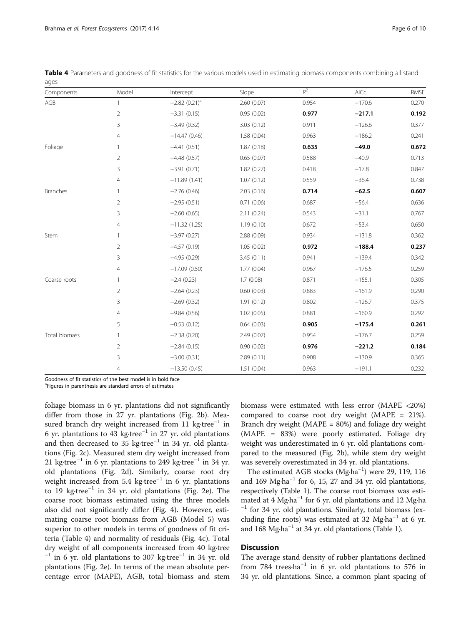Goodness of fit statistics of the best model is in bold face

<sup>a</sup>Figures in parenthesis are standard errors of estimates

foliage biomass in 6 yr. plantations did not significantly differ from those in 27 yr. plantations (Fig. [2b\)](#page-6-0). Measured branch dry weight increased from 11 kg⋅tree<sup>-1</sup> in 6 yr. plantations to 43 kg·tree−<sup>1</sup> in 27 yr. old plantations and then decreased to 35 kg·tree−<sup>1</sup> in 34 yr. old plantations (Fig. [2c\)](#page-6-0). Measured stem dry weight increased from 21 kg·tree<sup>-1</sup> in 6 yr. plantations to 249 kg·tree<sup>-1</sup> in 34 yr. old plantations (Fig. [2d](#page-6-0)). Similarly, coarse root dry weight increased from 5.4 kg⋅tree<sup>-1</sup> in 6 yr. plantations to 19 kg·tree−<sup>1</sup> in 34 yr. old plantations (Fig. [2e](#page-6-0)). The coarse root biomass estimated using the three models also did not significantly differ (Fig. [4](#page-8-0)). However, estimating coarse root biomass from AGB (Model 5) was superior to other models in terms of goodness of fit criteria (Table 4) and normality of residuals (Fig. [4c](#page-8-0)). Total dry weight of all components increased from 40 kg·tree  $^{-1}$  in 6 yr. old plantations to 307 kg⋅tree<sup>-1</sup> in 34 yr. old plantations (Fig. [2e\)](#page-6-0). In terms of the mean absolute percentage error (MAPE), AGB, total biomass and stem biomass were estimated with less error (MAPE <20%) compared to coarse root dry weight (MAPE = 21%). Branch dry weight (MAPE = 80%) and foliage dry weight (MAPE = 83%) were poorly estimated. Foliage dry weight was underestimated in 6 yr. old plantations compared to the measured (Fig. [2b\)](#page-6-0), while stem dry weight was severely overestimated in 34 yr. old plantations.

The estimated AGB stocks (Mg·ha−<sup>1</sup> ) were 29, 119, 116 and 169 Mg·ha−<sup>1</sup> for 6, 15, 27 and 34 yr. old plantations, respectively (Table [1](#page-3-0)). The coarse root biomass was estimated at 4 Mg·ha<sup>-1</sup> for 6 yr. old plantations and 12 Mg·ha <sup>-1</sup> for 34 yr. old plantations. Similarly, total biomass (excluding fine roots) was estimated at 32 Mg·ha<sup>-1</sup> at 6 yr. and 168 Mg·ha−<sup>1</sup> at 34 yr. old plantations (Table [1](#page-3-0)).

## **Discussion**

4 −13.50 (0.45) 1.51 (0.04) 0.963 −191.1 0.232

The average stand density of rubber plantations declined from 784 trees·ha<sup>-1</sup> in 6 yr. old plantations to 576 in 34 yr. old plantations. Since, a common plant spacing of

| Components    | Model          | Intercept                   | Slope       | $R^2$ | AICc     | <b>RMSE</b> |
|---------------|----------------|-----------------------------|-------------|-------|----------|-------------|
| AGB           | $\mathbf{1}$   | $-2.82$ (0.21) <sup>a</sup> | 2.60(0.07)  | 0.954 | $-170.6$ | 0.270       |
|               | $\overline{2}$ | $-3.31(0.15)$               | 0.95(0.02)  | 0.977 | $-217.1$ | 0.192       |
|               | 3              | $-3.49(0.32)$               | 3.03(0.12)  | 0.911 | $-126.6$ | 0.377       |
|               | $\overline{4}$ | $-14.47(0.46)$              | 1.58(0.04)  | 0.963 | $-186.2$ | 0.241       |
| Foliage       | $\mathbf{1}$   | $-4.41(0.51)$               | 1.87(0.18)  | 0.635 | $-49.0$  | 0.672       |
|               | $\overline{2}$ | $-4.48(0.57)$               | 0.65(0.07)  | 0.588 | $-40.9$  | 0.713       |
|               | 3              | $-3.91(0.71)$               | 1.82(0.27)  | 0.418 | $-17.8$  | 0.847       |
|               | 4              | $-11.89(1.41)$              | 1.07(0.12)  | 0.559 | $-36.4$  | 0.738       |
| Branches      | 1              | $-2.76(0.46)$               | 2.03(0.16)  | 0.714 | $-62.5$  | 0.607       |
|               | $\overline{2}$ | $-2.95(0.51)$               | 0.71(0.06)  | 0.687 | $-56.4$  | 0.636       |
|               | 3              | $-2.60(0.65)$               | 2.11(0.24)  | 0.543 | $-31.1$  | 0.767       |
|               | 4              | $-11.32(1.25)$              | 1.19(0.10)  | 0.672 | $-53.4$  | 0.650       |
| Stem          | $\mathbf{1}$   | $-3.97(0.27)$               | 2.88 (0.09) | 0.934 | $-131.8$ | 0.362       |
|               | $\overline{2}$ | $-4.57(0.19)$               | 1.05(0.02)  | 0.972 | $-188.4$ | 0.237       |
|               | 3              | $-4.95(0.29)$               | 3.45(0.11)  | 0.941 | $-139.4$ | 0.342       |
|               | 4              | $-17.09(0.50)$              | 1.77(0.04)  | 0.967 | $-176.5$ | 0.259       |
| Coarse roots  | 1              | $-2.4(0.23)$                | 1.7(0.08)   | 0.871 | $-155.1$ | 0.305       |
|               | $\overline{2}$ | $-2.64(0.23)$               | 0.60(0.03)  | 0.883 | $-161.9$ | 0.290       |
|               | 3              | $-2.69(0.32)$               | 1.91(0.12)  | 0.802 | $-126.7$ | 0.375       |
|               | $\overline{4}$ | $-9.84(0.56)$               | 1.02(0.05)  | 0.881 | $-160.9$ | 0.292       |
|               | 5              | $-0.53(0.12)$               | 0.64(0.03)  | 0.905 | $-175.4$ | 0.261       |
| Total biomass | 1              | $-2.38(0.20)$               | 2.49(0.07)  | 0.954 | $-176.7$ | 0.259       |
|               | $\overline{2}$ | $-2.84(0.15)$               | 0.90(0.02)  | 0.976 | $-221.2$ | 0.184       |
|               | 3              | $-3.00(0.31)$               | 2.89(0.11)  | 0.908 | $-130.9$ | 0.365       |
|               |                |                             |             |       |          |             |

<span id="page-5-0"></span>Table 4 Parameters and goodness of fit statistics for the various models used in estimating biomass components combining all stand ages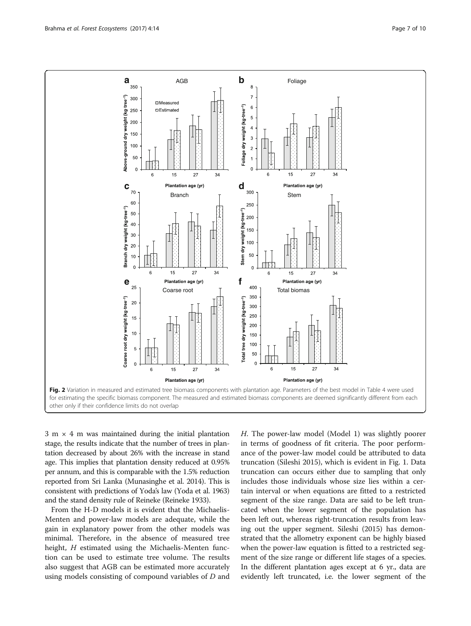<span id="page-6-0"></span>

 $3 \text{ m} \times 4 \text{ m}$  was maintained during the initial plantation stage, the results indicate that the number of trees in plantation decreased by about 26% with the increase in stand age. This implies that plantation density reduced at 0.95% per annum, and this is comparable with the 1.5% reduction reported from Sri Lanka (Munasinghe et al. [2014](#page-9-0)). This is consistent with predictions of Yoda's law (Yoda et al. [1963](#page-9-0)) and the stand density rule of Reineke (Reineke [1933](#page-9-0)).

From the H-D models it is evident that the Michaelis-Menten and power-law models are adequate, while the gain in explanatory power from the other models was minimal. Therefore, in the absence of measured tree height, *H* estimated using the Michaelis-Menten function can be used to estimate tree volume. The results also suggest that AGB can be estimated more accurately using models consisting of compound variables of D and H. The power-law model (Model 1) was slightly poorer in terms of goodness of fit criteria. The poor performance of the power-law model could be attributed to data truncation (Sileshi [2015\)](#page-9-0), which is evident in Fig. [1](#page-3-0). Data truncation can occurs either due to sampling that only includes those individuals whose size lies within a certain interval or when equations are fitted to a restricted segment of the size range. Data are said to be left truncated when the lower segment of the population has been left out, whereas right-truncation results from leaving out the upper segment. Sileshi [\(2015\)](#page-9-0) has demonstrated that the allometry exponent can be highly biased when the power-law equation is fitted to a restricted segment of the size range or different life stages of a species. In the different plantation ages except at 6 yr., data are evidently left truncated, i.e. the lower segment of the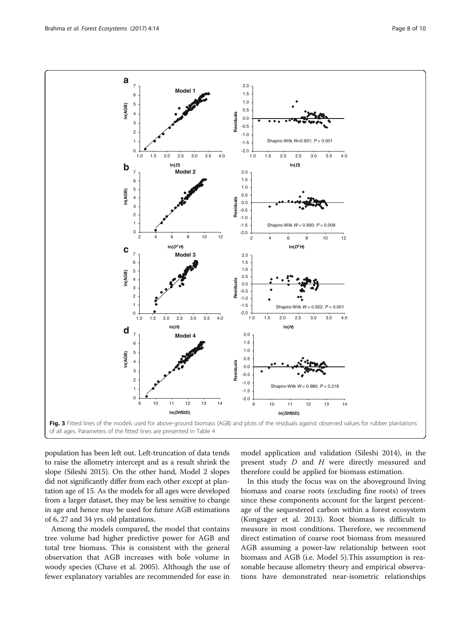population has been left out. Left-truncation of data tends to raise the allometry intercept and as a result shrink the slope (Sileshi [2015](#page-9-0)). On the other hand, Model 2 slopes did not significantly differ from each other except at plantation age of 15. As the models for all ages were developed from a larger dataset, they may be less sensitive to change in age and hence may be used for future AGB estimations of 6, 27 and 34 yrs. old plantations.

Among the models compared, the model that contains tree volume had higher predictive power for AGB and total tree biomass. This is consistent with the general observation that AGB increases with bole volume in woody species (Chave et al. [2005](#page-9-0)). Although the use of fewer explanatory variables are recommended for ease in model application and validation (Sileshi [2014\)](#page-9-0), in the present study D and H were directly measured and therefore could be applied for biomass estimation.

In this study the focus was on the aboveground living biomass and coarse roots (excluding fine roots) of trees since these components account for the largest percentage of the sequestered carbon within a forest ecosystem (Kongsager et al. [2013\)](#page-9-0). Root biomass is difficult to measure in most conditions. Therefore, we recommend direct estimation of coarse root biomass from measured AGB assuming a power-law relationship between root biomass and AGB (i.e. Model 5).This assumption is reasonable because allometry theory and empirical observations have demonstrated near-isometric relationships

<span id="page-7-0"></span>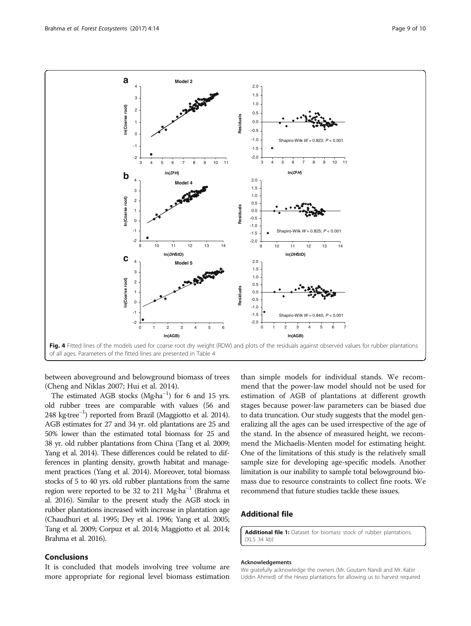<span id="page-8-0"></span>

between aboveground and belowground biomass of trees (Cheng and Niklas [2007;](#page-9-0) Hui et al. [2014](#page-9-0)).

The estimated AGB stocks (Mg·ha<sup>-1</sup>) for 6 and 15 yrs. old rubber trees are comparable with values (56 and 248 kg·tree−<sup>1</sup> ) reported from Brazil (Maggiotto et al. [2014](#page-9-0)). AGB estimates for 27 and 34 yr. old plantations are 25 and 50% lower than the estimated total biomass for 25 and 38 yr. old rubber plantations from China (Tang et al. [2009](#page-9-0); Yang et al. [2014\)](#page-9-0). These differences could be related to differences in planting density, growth habitat and management practices (Yang et al. [2014](#page-9-0)). Moreover, total biomass stocks of 5 to 40 yrs. old rubber plantations from the same region were reported to be 32 to 211 Mg·ha−<sup>1</sup> (Brahma et al. [2016](#page-9-0)). Similar to the present study the AGB stock in rubber plantations increased with increase in plantation age (Chaudhuri et al. [1995](#page-9-0); Dey et al. [1996;](#page-9-0) Yang et al. [2005](#page-9-0); Tang et al. [2009](#page-9-0); Corpuz et al. [2014;](#page-9-0) Maggiotto et al. [2014](#page-9-0); Brahma et al. [2016\)](#page-9-0).

## Conclusions

It is concluded that models involving tree volume are more appropriate for regional level biomass estimation

than simple models for individual stands. We recommend that the power-law model should not be used for estimation of AGB of plantations at different growth stages because power-law parameters can be biased due to data truncation. Our study suggests that the model generalizing all the ages can be used irrespective of the age of the stand. In the absence of measured height, we recommend the Michaelis-Menten model for estimating height. One of the limitations of this study is the relatively small sample size for developing age-specific models. Another limitation is our inability to sample total belowground biomass due to resource constraints to collect fine roots. We recommend that future studies tackle these issues.

## Additional file

[Additional file 1:](dx.doi.org/10.1186/s40663-017-0101-3) Dataset for biomass stock of rubber plantations. (XLS 34 kb)

#### Acknowledgements

We gratefully acknowledge the owners (Mr. Goutam Nandi and Mr. Kabir Uddin Ahmed) of the Hevea plantations for allowing us to harvest required